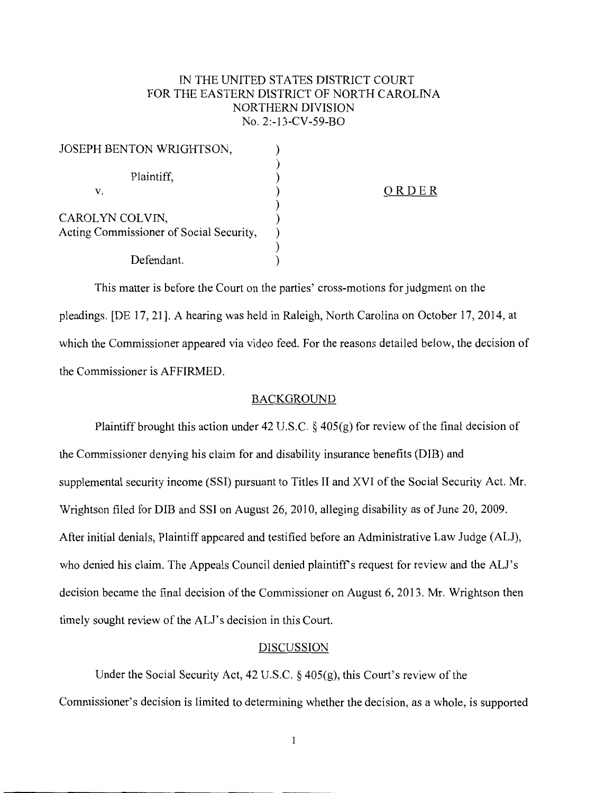## IN THE UNITED STATES DISTRICT COURT FOR THE EASTERN DISTRICT OF NORTH CAROLINA NORTHERN DIVISION No. 2:-13-CV-59-BO

| JOSEPH BENTON WRIGHTSON,                |       |
|-----------------------------------------|-------|
|                                         |       |
| Plaintiff,                              |       |
| v.                                      | ORDER |
|                                         |       |
| CAROLYN COLVIN,                         |       |
| Acting Commissioner of Social Security, |       |
|                                         |       |
| Defendant.                              |       |

This matter is before the Court on the parties' cross-motions for judgment on the pleadings. [DE 17, 21]. A hearing was held in Raleigh, North Carolina on October 17,2014, at which the Commissioner appeared via video feed. For the reasons detailed below, the decision of the Commissioner is AFFIRMED.

## BACKGROUND

Plaintiff brought this action under 42 U.S.C. § 405(g) for review of the final decision of the Commissioner denying his claim for and disability insurance benefits (DIB) and supplemental security income (SSI) pursuant to Titles II and XVI of the Social Security Act. Mr. Wrightson filed for DIB and SSI on August 26, 2010, alleging disability as of June 20, 2009. After initial denials, Plaintiff appeared and testified before an Administrative Law Judge (ALJ), who denied his claim. The Appeals Council denied plaintiff's request for review and the ALI's decision became the final decision of the Commissioner on August 6, 2013. Mr. Wrightson then timely sought review of the ALJ's decision in this Court.

## DISCUSSION

Under the Social Security Act, 42 U.S.C.  $\S$  405(g), this Court's review of the Commissioner's decision is limited to determining whether the decision, as a whole, is supported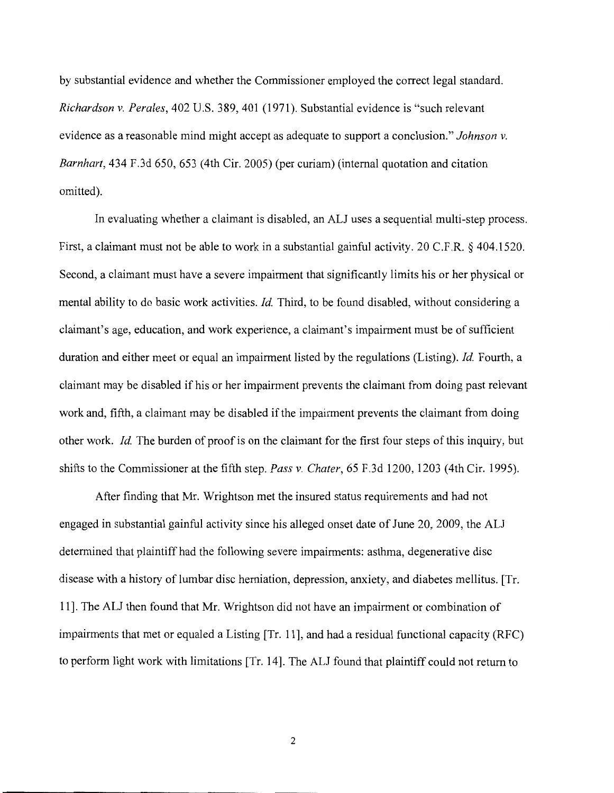by substantial evidence and whether the Commissioner employed the correct legal standard. *Richardson v. Perales,* 402 U.S. 389,401 (1971). Substantial evidence is "such relevant evidence as a reasonable mind might accept as adequate to support a conclusion." *Johnson v. Barnhart,* 434 F.3d 650, 653 (4th Cir. 2005) (per curiam) (internal quotation and citation omitted).

In evaluating whether a claimant is disabled, an ALJ uses a sequential multi-step process. First, a claimant must not be able to work in a substantial gainful activity. 20 C.F.R. § 404.1520. Second, a claimant must have a severe impairment that significantly limits his or her physical or mental ability to do basic work activities. *!d.* Third, to be found disabled, without considering a claimant's age, education, and work experience, a claimant's impairment must be of sufficient duration and either meet or equal an impairment listed by the regulations (Listing). *!d.* Fourth, a claimant may be disabled if his or her impairment prevents the claimant from doing past relevant work and, fifth, a claimant may be disabled if the impairment prevents the claimant from doing other work. *!d.* The burden of proof is on the claimant for the first four steps of this inquiry, but shifts to the Commissioner at the fifth step. *Pass v. Chater,* 65 F.3d 1200, 1203 (4th Cir. 1995).

After finding that Mr. Wrightson met the insured status requirements and had not engaged in substantial gainful activity since his alleged onset date of June 20, 2009, the ALJ determined that plaintiff had the following severe impairments: asthma, degenerative disc disease with a history of lumbar disc herniation, depression, anxiety, and diabetes mellitus. [Tr. 11]. The ALJ then found that Mr. Wrightson did not have an impairment or combination of impairments that met or equaled a Listing [Tr. 11], and had a residual functional capacity (RFC) to perform light work with limitations [Tr. 14]. The ALJ found that plaintiff could not return to

2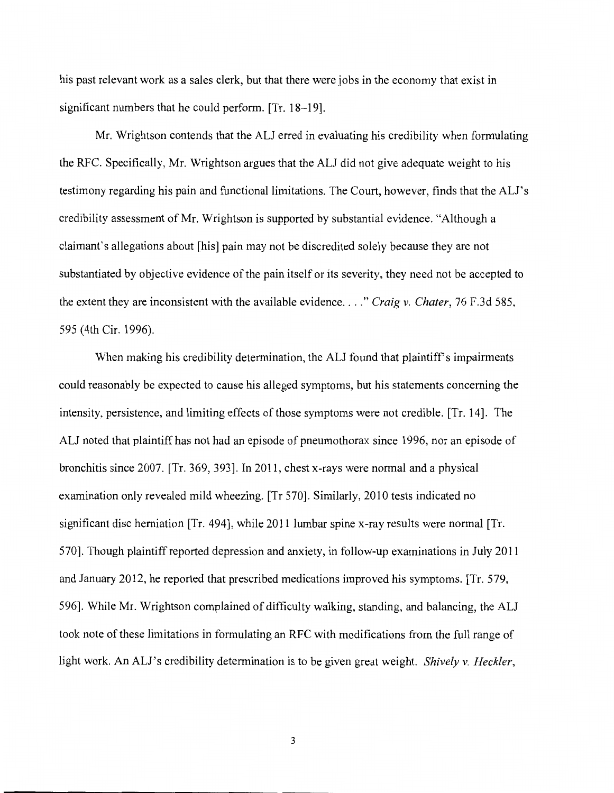his past relevant work as a sales clerk, but that there were jobs in the economy that exist in significant numbers that he could perform. [Tr. 18-19].

Mr. Wrightson contends that the ALJ erred in evaluating his credibility when formulating the RFC. Specifically, Mr. Wrightson argues that the ALJ did not give adequate weight to his testimony regarding his pain and functional limitations. The Court, however, finds that the ALI's credibility assessment of Mr. Wrightson is supported by substantial evidence. "Although a claimant's allegations about [his] pain may not be discredited solely because they are not substantiated by objective evidence of the pain itself or its severity, they need not be accepted to the extent they are inconsistent with the available evidence ... *. "Craig v. Chater,* 76 F.3d 585, 595 (4th Cir. 1996).

When making his credibility determination, the ALJ found that plaintiff's impairments could reasonably be expected to cause his alleged symptoms, but his statements concerning the intensity, persistence, and limiting effects of those symptoms were not credible. [Tr. 14]. The ALJ noted that plaintiff has not had an episode of pneumothorax since 1996, nor an episode of bronchitis since 2007. [Tr. 369, 393]. In 2011, chest x-rays were normal and a physical examination only revealed mild wheezing. [Tr 570]. Similarly, 2010 tests indicated no significant disc herniation [Tr. 494], while 2011 lumbar spine x-ray results were normal [Tr. 570]. Though plaintiff reported depression and anxiety, in follow-up examinations in July 2011 and January 2012, he reported that prescribed medications improved his symptoms. [Tr. 579, 596]. While Mr. Wrightson complained of difficulty walking, standing, and balancing, the ALJ took note of these limitations in formulating an RFC with modifications from the full range of light work. An ALJ's credibility determination is to be given great weight. *Shively v. Heckler,* 

3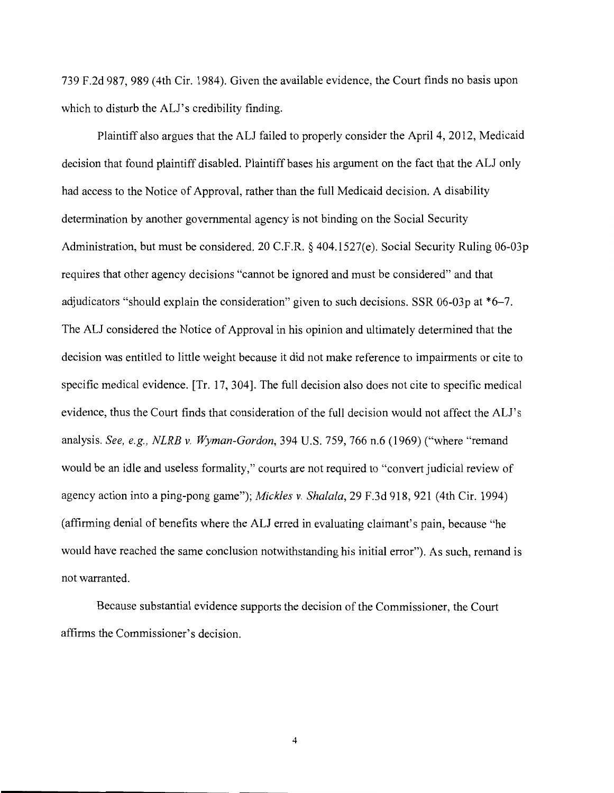739 F.2d 987, 989 (4th Cir. 1984). Given the available evidence, the Court finds no basis upon which to disturb the ALI's credibility finding.

Plaintiff also argues that the ALJ failed to properly consider the April 4, 2012, Medicaid decision that found plaintiff disabled. Plaintiff bases his argument on the fact that the ALJ only had access to the Notice of Approval, rather than the full Medicaid decision. A disability determination by another governmental agency is not binding on the Social Security Administration, but must be considered. 20 C.F.R. § 404.1527(e). Social Security Ruling 06-03p requires that other agency decisions "cannot be ignored and must be considered" and that adjudicators "should explain the consideration" given to such decisions. SSR 06-03p at \*6-7. The ALJ considered the Notice of Approval in his opinion and ultimately determined that the decision was entitled to little weight because it did not make reference to impairments or cite to specific medical evidence. [Tr. 17, 304]. The full decision also does not cite to specific medical evidence, thus the Court finds that consideration of the full decision would not affect the ALI's analysis. *See, e.g., NLRB v. Wyman-Gordon,* 394 U.S. 759, 766 n.6 (1969) ("where "remand would be an idle and useless formality," courts are not required to "convert judicial review of agency action into a ping-pong game"); *Mickles v. Shalala,* 29 F.3d 918, 921 (4th Cir. 1994) (affirming denial of benefits where the ALJ erred in evaluating claimant's pain, because "he would have reached the same conclusion notwithstanding his initial error"). As such, remand is not warranted.

Because substantial evidence supports the decision of the Commissioner, the Court affirms the Commissioner's decision.

4